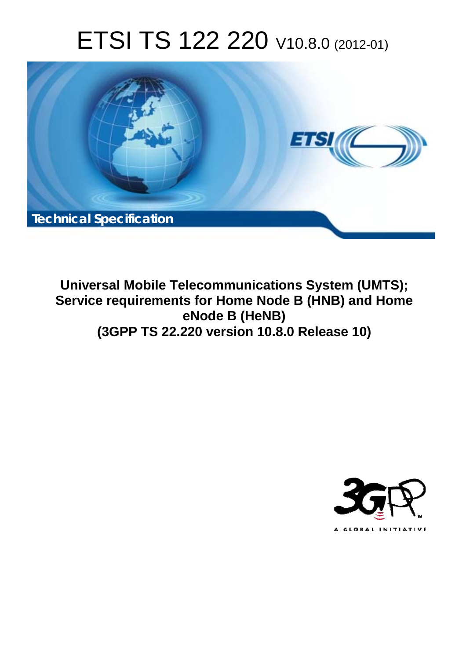# ETSI TS 122 220 V10.8.0 (2012-01)



**Universal Mobile Telecommunications System (UMTS); Service requirements for Home Node B (HNB) and Home eNode B (HeNB) (3GPP TS 22.220 version 10.8.0 Release 10)** 

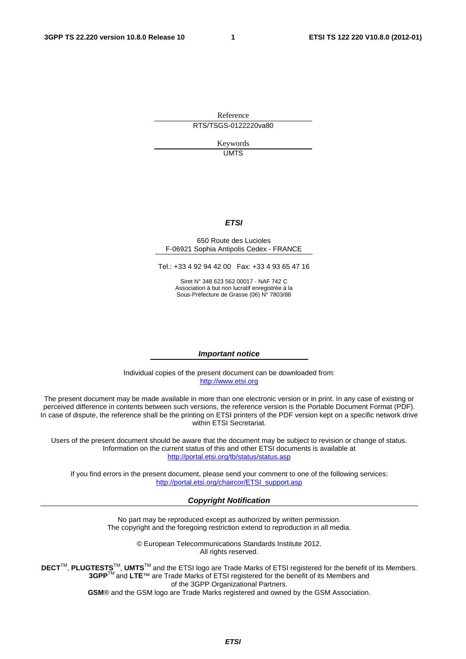Reference RTS/TSGS-0122220va80

> Keywords UMTS

#### *ETSI*

#### 650 Route des Lucioles F-06921 Sophia Antipolis Cedex - FRANCE

Tel.: +33 4 92 94 42 00 Fax: +33 4 93 65 47 16

Siret N° 348 623 562 00017 - NAF 742 C Association à but non lucratif enregistrée à la Sous-Préfecture de Grasse (06) N° 7803/88

#### *Important notice*

Individual copies of the present document can be downloaded from: [http://www.etsi.org](http://www.etsi.org/)

The present document may be made available in more than one electronic version or in print. In any case of existing or perceived difference in contents between such versions, the reference version is the Portable Document Format (PDF). In case of dispute, the reference shall be the printing on ETSI printers of the PDF version kept on a specific network drive within ETSI Secretariat.

Users of the present document should be aware that the document may be subject to revision or change of status. Information on the current status of this and other ETSI documents is available at <http://portal.etsi.org/tb/status/status.asp>

If you find errors in the present document, please send your comment to one of the following services: [http://portal.etsi.org/chaircor/ETSI\\_support.asp](http://portal.etsi.org/chaircor/ETSI_support.asp)

#### *Copyright Notification*

No part may be reproduced except as authorized by written permission. The copyright and the foregoing restriction extend to reproduction in all media.

> © European Telecommunications Standards Institute 2012. All rights reserved.

DECT<sup>™</sup>, PLUGTESTS<sup>™</sup>, UMTS<sup>™</sup> and the ETSI logo are Trade Marks of ETSI registered for the benefit of its Members. **3GPP**TM and **LTE**™ are Trade Marks of ETSI registered for the benefit of its Members and of the 3GPP Organizational Partners.

**GSM**® and the GSM logo are Trade Marks registered and owned by the GSM Association.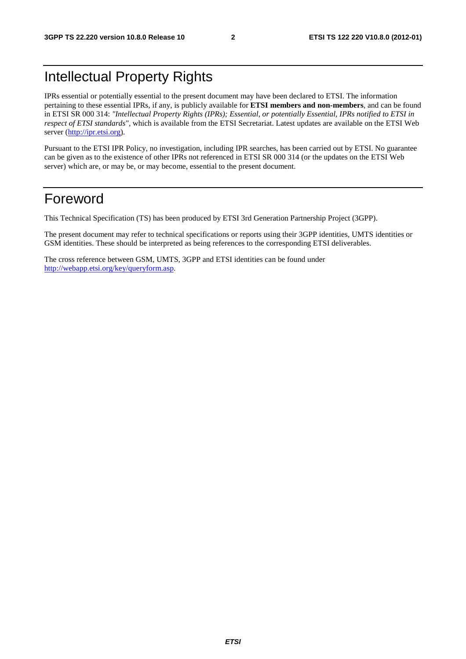## Intellectual Property Rights

IPRs essential or potentially essential to the present document may have been declared to ETSI. The information pertaining to these essential IPRs, if any, is publicly available for **ETSI members and non-members**, and can be found in ETSI SR 000 314: *"Intellectual Property Rights (IPRs); Essential, or potentially Essential, IPRs notified to ETSI in respect of ETSI standards"*, which is available from the ETSI Secretariat. Latest updates are available on the ETSI Web server [\(http://ipr.etsi.org](http://webapp.etsi.org/IPR/home.asp)).

Pursuant to the ETSI IPR Policy, no investigation, including IPR searches, has been carried out by ETSI. No guarantee can be given as to the existence of other IPRs not referenced in ETSI SR 000 314 (or the updates on the ETSI Web server) which are, or may be, or may become, essential to the present document.

## Foreword

This Technical Specification (TS) has been produced by ETSI 3rd Generation Partnership Project (3GPP).

The present document may refer to technical specifications or reports using their 3GPP identities, UMTS identities or GSM identities. These should be interpreted as being references to the corresponding ETSI deliverables.

The cross reference between GSM, UMTS, 3GPP and ETSI identities can be found under <http://webapp.etsi.org/key/queryform.asp>.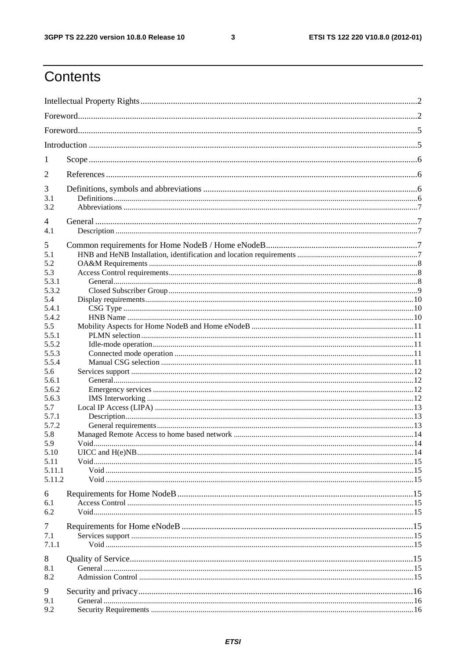$\mathbf{3}$ 

## Contents

| 1                |  |  |  |  |  |  |  |
|------------------|--|--|--|--|--|--|--|
| 2                |  |  |  |  |  |  |  |
| 3                |  |  |  |  |  |  |  |
| 3.1<br>3.2       |  |  |  |  |  |  |  |
| 4                |  |  |  |  |  |  |  |
| 4.1              |  |  |  |  |  |  |  |
| 5<br>5.1         |  |  |  |  |  |  |  |
| 5.2              |  |  |  |  |  |  |  |
| 5.3              |  |  |  |  |  |  |  |
| 5.3.1            |  |  |  |  |  |  |  |
| 5.3.2            |  |  |  |  |  |  |  |
| 5.4<br>5.4.1     |  |  |  |  |  |  |  |
| 5.4.2            |  |  |  |  |  |  |  |
| 5.5              |  |  |  |  |  |  |  |
| 5.5.1            |  |  |  |  |  |  |  |
| 5.5.2            |  |  |  |  |  |  |  |
| 5.5.3            |  |  |  |  |  |  |  |
| 5.5.4            |  |  |  |  |  |  |  |
| 5.6              |  |  |  |  |  |  |  |
| 5.6.1<br>5.6.2   |  |  |  |  |  |  |  |
| 5.6.3            |  |  |  |  |  |  |  |
| 5.7              |  |  |  |  |  |  |  |
| 5.7.1            |  |  |  |  |  |  |  |
| 5.7.2            |  |  |  |  |  |  |  |
| 5.8              |  |  |  |  |  |  |  |
| 5.9              |  |  |  |  |  |  |  |
| 5.10             |  |  |  |  |  |  |  |
| 5.11             |  |  |  |  |  |  |  |
| 5.11.1<br>5.11.2 |  |  |  |  |  |  |  |
|                  |  |  |  |  |  |  |  |
| 6                |  |  |  |  |  |  |  |
| 6.1              |  |  |  |  |  |  |  |
| 6.2              |  |  |  |  |  |  |  |
| 7                |  |  |  |  |  |  |  |
| 7.1              |  |  |  |  |  |  |  |
| 7.1.1            |  |  |  |  |  |  |  |
| 8                |  |  |  |  |  |  |  |
| 8.1              |  |  |  |  |  |  |  |
| 8.2              |  |  |  |  |  |  |  |
|                  |  |  |  |  |  |  |  |
| 9                |  |  |  |  |  |  |  |
| 9.1<br>9.2       |  |  |  |  |  |  |  |
|                  |  |  |  |  |  |  |  |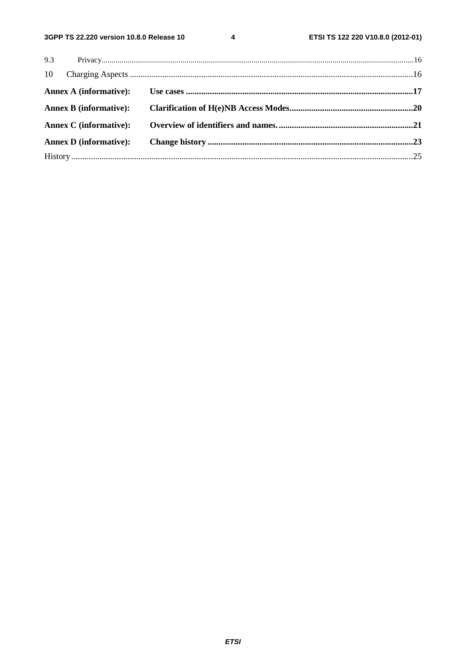$\overline{\mathbf{4}}$ 

| <b>Annex D</b> (informative): |  |
|-------------------------------|--|
|                               |  |
|                               |  |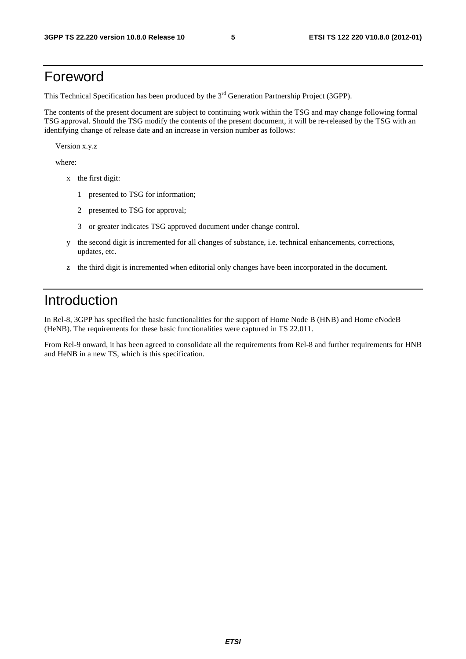## Foreword

This Technical Specification has been produced by the 3<sup>rd</sup> Generation Partnership Project (3GPP).

The contents of the present document are subject to continuing work within the TSG and may change following formal TSG approval. Should the TSG modify the contents of the present document, it will be re-released by the TSG with an identifying change of release date and an increase in version number as follows:

Version x.y.z

where:

- x the first digit:
	- 1 presented to TSG for information;
	- 2 presented to TSG for approval;
	- 3 or greater indicates TSG approved document under change control.
- y the second digit is incremented for all changes of substance, i.e. technical enhancements, corrections, updates, etc.
- z the third digit is incremented when editorial only changes have been incorporated in the document.

## Introduction

In Rel-8, 3GPP has specified the basic functionalities for the support of Home Node B (HNB) and Home eNodeB (HeNB). The requirements for these basic functionalities were captured in TS 22.011.

From Rel-9 onward, it has been agreed to consolidate all the requirements from Rel-8 and further requirements for HNB and HeNB in a new TS, which is this specification.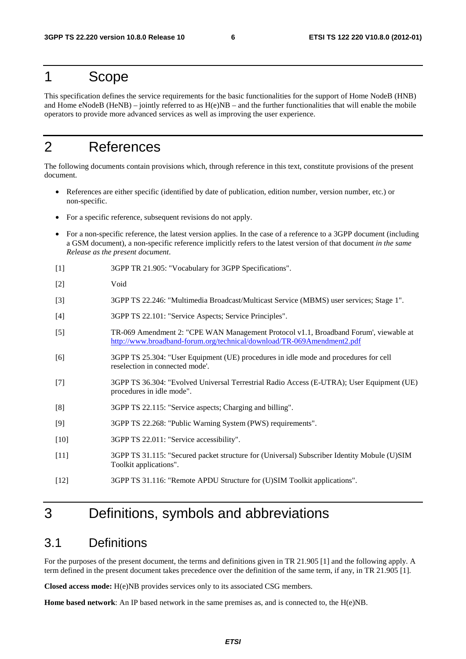### 1 Scope

This specification defines the service requirements for the basic functionalities for the support of Home NodeB (HNB) and Home eNodeB (HeNB) – jointly referred to as  $H(e)NB$  – and the further functionalities that will enable the mobile operators to provide more advanced services as well as improving the user experience.

## 2 References

The following documents contain provisions which, through reference in this text, constitute provisions of the present document.

- References are either specific (identified by date of publication, edition number, version number, etc.) or non-specific.
- For a specific reference, subsequent revisions do not apply.
- For a non-specific reference, the latest version applies. In the case of a reference to a 3GPP document (including a GSM document), a non-specific reference implicitly refers to the latest version of that document *in the same Release as the present document*.
- [1] 3GPP TR 21.905: "Vocabulary for 3GPP Specifications".
- [2] Void
- [3] 3GPP TS 22.246: "Multimedia Broadcast/Multicast Service (MBMS) user services; Stage 1".
- [4] 3GPP TS 22.101: "Service Aspects; Service Principles".
- [5] TR-069 Amendment 2: "CPE WAN Management Protocol v1.1, Broadband Forum', viewable at <http://www.broadband-forum.org/technical/download/TR-069Amendment2.pdf>
- [6] 3GPP TS 25.304: "User Equipment (UE) procedures in idle mode and procedures for cell reselection in connected mode'.
- [7] 3GPP TS 36.304: "Evolved Universal Terrestrial Radio Access (E-UTRA); User Equipment (UE) procedures in idle mode".
- [8] 3GPP TS 22.115: "Service aspects; Charging and billing".
- [9] 3GPP TS 22.268: "Public Warning System (PWS) requirements".
- [10] 3GPP TS 22.011: "Service accessibility".
- [11] 3GPP TS 31.115: "Secured packet structure for (Universal) Subscriber Identity Mobule (U)SIM Toolkit applications".
- [12] 3GPP TS 31.116: "Remote APDU Structure for (U)SIM Toolkit applications".

## 3 Definitions, symbols and abbreviations

### 3.1 Definitions

For the purposes of the present document, the terms and definitions given in TR 21.905 [1] and the following apply. A term defined in the present document takes precedence over the definition of the same term, if any, in TR 21.905 [1].

**Closed access mode:** H(e)NB provides services only to its associated CSG members.

**Home based network**: An IP based network in the same premises as, and is connected to, the H(e)NB.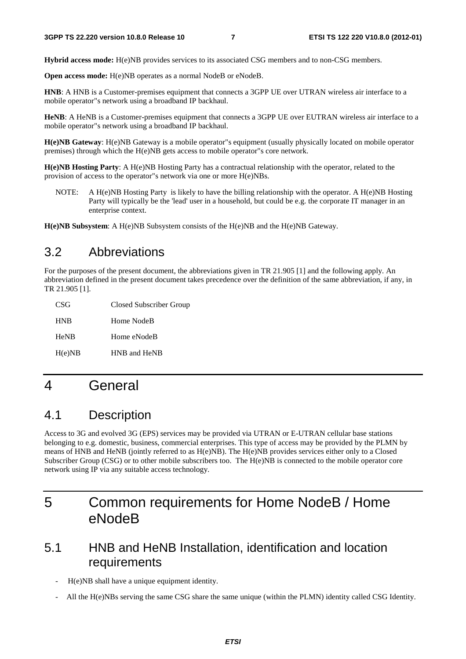**Hybrid access mode:** H(e)NB provides services to its associated CSG members and to non-CSG members.

**Open access mode:** H(e)NB operates as a normal NodeB or eNodeB.

**HNB**: A HNB is a Customer-premises equipment that connects a 3GPP UE over UTRAN wireless air interface to a mobile operator"s network using a broadband IP backhaul.

**HeNB**: A HeNB is a Customer-premises equipment that connects a 3GPP UE over EUTRAN wireless air interface to a mobile operator"s network using a broadband IP backhaul.

**H(e)NB Gateway**: H(e)NB Gateway is a mobile operator"s equipment (usually physically located on mobile operator premises) through which the H(e)NB gets access to mobile operator"s core network.

**H(e)NB Hosting Party**: A H(e)NB Hosting Party has a contractual relationship with the operator, related to the provision of access to the operator"s network via one or more H(e)NBs.

NOTE: A H(e)NB Hosting Party is likely to have the billing relationship with the operator. A H(e)NB Hosting Party will typically be the 'lead' user in a household, but could be e.g. the corporate IT manager in an enterprise context.

**H(e)NB Subsystem**: A H(e)NB Subsystem consists of the H(e)NB and the H(e)NB Gateway.

### 3.2 Abbreviations

For the purposes of the present document, the abbreviations given in TR 21.905 [1] and the following apply. An abbreviation defined in the present document takes precedence over the definition of the same abbreviation, if any, in TR 21.905 [1].

| CSG         | Closed Subscriber Group |
|-------------|-------------------------|
| <b>HNB</b>  | Home NodeB              |
| <b>HeNB</b> | Home eNodeB             |
| H(e)NB      | HNB and HeNB            |

## 4 General

### 4.1 Description

Access to 3G and evolved 3G (EPS) services may be provided via UTRAN or E-UTRAN cellular base stations belonging to e.g. domestic, business, commercial enterprises. This type of access may be provided by the PLMN by means of HNB and HeNB (jointly referred to as H(e)NB). The H(e)NB provides services either only to a Closed Subscriber Group (CSG) or to other mobile subscribers too. The H(e)NB is connected to the mobile operator core network using IP via any suitable access technology.

## 5 Common requirements for Home NodeB / Home eNodeB

## 5.1 HNB and HeNB Installation, identification and location requirements

- H(e)NB shall have a unique equipment identity.
- All the H(e)NBs serving the same CSG share the same unique (within the PLMN) identity called CSG Identity.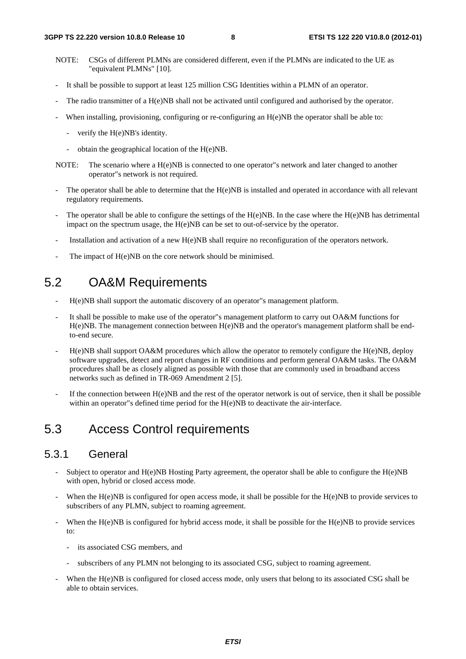- NOTE: CSGs of different PLMNs are considered different, even if the PLMNs are indicated to the UE as "equivalent PLMNs" [10].
- It shall be possible to support at least 125 million CSG Identities within a PLMN of an operator.
- The radio transmitter of a H(e)NB shall not be activated until configured and authorised by the operator.
- When installing, provisioning, configuring or re-configuring an  $H(e)NB$  the operator shall be able to:
	- verify the H(e)NB's identity.
	- obtain the geographical location of the H(e)NB.
- NOTE: The scenario where a H(e)NB is connected to one operator"s network and later changed to another operator"s network is not required.
- The operator shall be able to determine that the  $H(e)NB$  is installed and operated in accordance with all relevant regulatory requirements.
- The operator shall be able to configure the settings of the  $H(e)NB$ . In the case where the  $H(e)NB$  has detrimental impact on the spectrum usage, the H(e)NB can be set to out-of-service by the operator.
- Installation and activation of a new H(e)NB shall require no reconfiguration of the operators network.
- The impact of H(e)NB on the core network should be minimised.

## 5.2 OA&M Requirements

- H(e)NB shall support the automatic discovery of an operator"s management platform.
- It shall be possible to make use of the operator"s management platform to carry out OA&M functions for H(e)NB. The management connection between H(e)NB and the operator's management platform shall be endto-end secure.
- H(e)NB shall support OA&M procedures which allow the operator to remotely configure the H(e)NB, deploy software upgrades, detect and report changes in RF conditions and perform general OA&M tasks. The OA&M procedures shall be as closely aligned as possible with those that are commonly used in broadband access networks such as defined in TR-069 Amendment 2 [5].
- If the connection between  $H(e)NB$  and the rest of the operator network is out of service, then it shall be possible within an operator"s defined time period for the H(e)NB to deactivate the air-interface.

## 5.3 Access Control requirements

### 5.3.1 General

- Subject to operator and  $H(e)NB$  Hosting Party agreement, the operator shall be able to configure the  $H(e)NB$ with open, hybrid or closed access mode.
- When the  $H(e)NB$  is configured for open access mode, it shall be possible for the  $H(e)NB$  to provide services to subscribers of any PLMN, subject to roaming agreement.
- When the H(e)NB is configured for hybrid access mode, it shall be possible for the H(e)NB to provide services to:
	- its associated CSG members, and
	- subscribers of any PLMN not belonging to its associated CSG, subject to roaming agreement.
- When the H(e)NB is configured for closed access mode, only users that belong to its associated CSG shall be able to obtain services.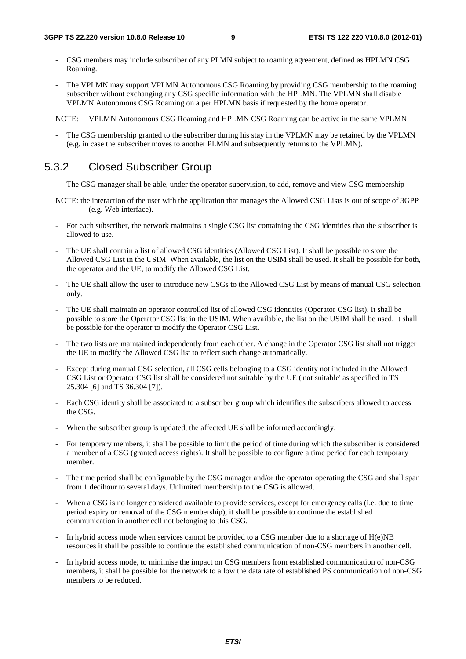- CSG members may include subscriber of any PLMN subject to roaming agreement, defined as HPLMN CSG Roaming.
- The VPLMN may support VPLMN Autonomous CSG Roaming by providing CSG membership to the roaming subscriber without exchanging any CSG specific information with the HPLMN. The VPLMN shall disable VPLMN Autonomous CSG Roaming on a per HPLMN basis if requested by the home operator.

NOTE: VPLMN Autonomous CSG Roaming and HPLMN CSG Roaming can be active in the same VPLMN

The CSG membership granted to the subscriber during his stay in the VPLMN may be retained by the VPLMN (e.g. in case the subscriber moves to another PLMN and subsequently returns to the VPLMN).

### 5.3.2 Closed Subscriber Group

- The CSG manager shall be able, under the operator supervision, to add, remove and view CSG membership
- NOTE: the interaction of the user with the application that manages the Allowed CSG Lists is out of scope of 3GPP (e.g. Web interface).
- For each subscriber, the network maintains a single CSG list containing the CSG identities that the subscriber is allowed to use.
- The UE shall contain a list of allowed CSG identities (Allowed CSG List). It shall be possible to store the Allowed CSG List in the USIM. When available, the list on the USIM shall be used. It shall be possible for both, the operator and the UE, to modify the Allowed CSG List.
- The UE shall allow the user to introduce new CSGs to the Allowed CSG List by means of manual CSG selection only.
- The UE shall maintain an operator controlled list of allowed CSG identities (Operator CSG list). It shall be possible to store the Operator CSG list in the USIM. When available, the list on the USIM shall be used. It shall be possible for the operator to modify the Operator CSG List.
- The two lists are maintained independently from each other. A change in the Operator CSG list shall not trigger the UE to modify the Allowed CSG list to reflect such change automatically.
- Except during manual CSG selection, all CSG cells belonging to a CSG identity not included in the Allowed CSG List or Operator CSG list shall be considered not suitable by the UE ('not suitable' as specified in TS 25.304 [6] and TS 36.304 [7]).
- Each CSG identity shall be associated to a subscriber group which identifies the subscribers allowed to access the CSG.
- When the subscriber group is updated, the affected UE shall be informed accordingly.
- For temporary members, it shall be possible to limit the period of time during which the subscriber is considered a member of a CSG (granted access rights). It shall be possible to configure a time period for each temporary member.
- The time period shall be configurable by the CSG manager and/or the operator operating the CSG and shall span from 1 decihour to several days. Unlimited membership to the CSG is allowed.
- When a CSG is no longer considered available to provide services, except for emergency calls (i.e. due to time period expiry or removal of the CSG membership), it shall be possible to continue the established communication in another cell not belonging to this CSG.
- In hybrid access mode when services cannot be provided to a CSG member due to a shortage of  $H(e)NB$ resources it shall be possible to continue the established communication of non-CSG members in another cell.
- In hybrid access mode, to minimise the impact on CSG members from established communication of non-CSG members, it shall be possible for the network to allow the data rate of established PS communication of non-CSG members to be reduced.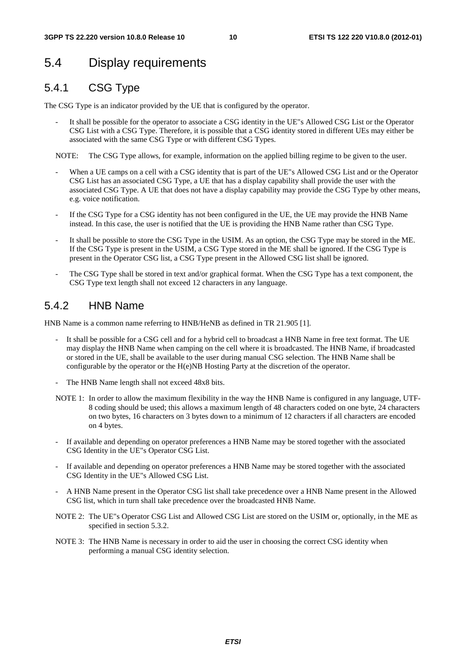## 5.4 Display requirements

### 5.4.1 CSG Type

The CSG Type is an indicator provided by the UE that is configured by the operator.

It shall be possible for the operator to associate a CSG identity in the UE"s Allowed CSG List or the Operator CSG List with a CSG Type. Therefore, it is possible that a CSG identity stored in different UEs may either be associated with the same CSG Type or with different CSG Types.

NOTE: The CSG Type allows, for example, information on the applied billing regime to be given to the user.

- When a UE camps on a cell with a CSG identity that is part of the UE"s Allowed CSG List and or the Operator CSG List has an associated CSG Type, a UE that has a display capability shall provide the user with the associated CSG Type. A UE that does not have a display capability may provide the CSG Type by other means, e.g. voice notification.
- If the CSG Type for a CSG identity has not been configured in the UE, the UE may provide the HNB Name instead. In this case, the user is notified that the UE is providing the HNB Name rather than CSG Type.
- It shall be possible to store the CSG Type in the USIM. As an option, the CSG Type may be stored in the ME. If the CSG Type is present in the USIM, a CSG Type stored in the ME shall be ignored. If the CSG Type is present in the Operator CSG list, a CSG Type present in the Allowed CSG list shall be ignored.
- The CSG Type shall be stored in text and/or graphical format. When the CSG Type has a text component, the CSG Type text length shall not exceed 12 characters in any language.

### 5.4.2 HNB Name

HNB Name is a common name referring to HNB/HeNB as defined in TR 21.905 [1].

- It shall be possible for a CSG cell and for a hybrid cell to broadcast a HNB Name in free text format. The UE may display the HNB Name when camping on the cell where it is broadcasted. The HNB Name, if broadcasted or stored in the UE, shall be available to the user during manual CSG selection. The HNB Name shall be configurable by the operator or the H(e)NB Hosting Party at the discretion of the operator.
- The HNB Name length shall not exceed 48x8 bits.
- NOTE 1: In order to allow the maximum flexibility in the way the HNB Name is configured in any language, UTF-8 coding should be used; this allows a maximum length of 48 characters coded on one byte, 24 characters on two bytes, 16 characters on 3 bytes down to a minimum of 12 characters if all characters are encoded on 4 bytes.
- If available and depending on operator preferences a HNB Name may be stored together with the associated CSG Identity in the UE"s Operator CSG List.
- If available and depending on operator preferences a HNB Name may be stored together with the associated CSG Identity in the UE"s Allowed CSG List.
- A HNB Name present in the Operator CSG list shall take precedence over a HNB Name present in the Allowed CSG list, which in turn shall take precedence over the broadcasted HNB Name.
- NOTE 2: The UE"s Operator CSG List and Allowed CSG List are stored on the USIM or, optionally, in the ME as specified in section 5.3.2.
- NOTE 3: The HNB Name is necessary in order to aid the user in choosing the correct CSG identity when performing a manual CSG identity selection.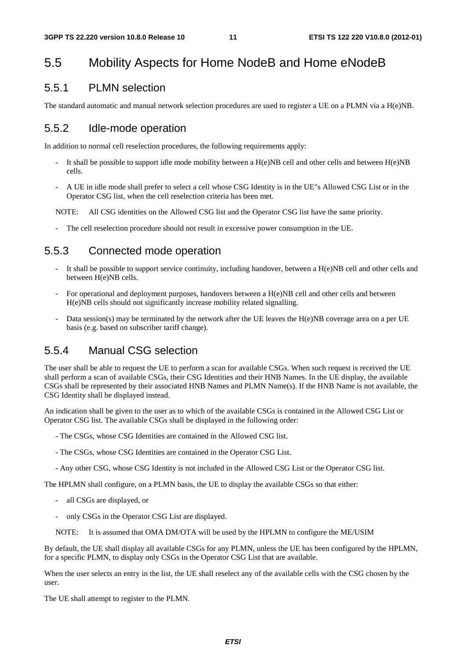## 5.5 Mobility Aspects for Home NodeB and Home eNodeB

#### 5.5.1 PLMN selection

The standard automatic and manual network selection procedures are used to register a UE on a PLMN via a H(e)NB.

#### 5.5.2 Idle-mode operation

In addition to normal cell reselection procedures, the following requirements apply:

- It shall be possible to support idle mode mobility between a  $H(e)NB$  cell and other cells and between  $H(e)NB$ cells.
- A UE in idle mode shall prefer to select a cell whose CSG Identity is in the UE"s Allowed CSG List or in the Operator CSG list, when the cell reselection criteria has been met.

NOTE: All CSG identities on the Allowed CSG list and the Operator CSG list have the same priority.

The cell reselection procedure should not result in excessive power consumption in the UE.

### 5.5.3 Connected mode operation

- It shall be possible to support service continuity, including handover, between a  $H(e)NB$  cell and other cells and between H(e)NB cells.
- For operational and deployment purposes, handovers between a H(e)NB cell and other cells and between H(e)NB cells should not significantly increase mobility related signalling.
- Data session(s) may be terminated by the network after the UE leaves the H(e)NB coverage area on a per UE basis (e.g. based on subscriber tariff change).

#### 5.5.4 Manual CSG selection

The user shall be able to request the UE to perform a scan for available CSGs. When such request is received the UE shall perform a scan of available CSGs, their CSG Identities and their HNB Names. In the UE display, the available CSGs shall be represented by their associated HNB Names and PLMN Name(s). If the HNB Name is not available, the CSG Identity shall be displayed instead.

An indication shall be given to the user as to which of the available CSGs is contained in the Allowed CSG List or Operator CSG list. The available CSGs shall be displayed in the following order:

- The CSGs, whose CSG Identities are contained in the Allowed CSG list.
- The CSGs, whose CSG Identities are contained in the Operator CSG List.
- Any other CSG, whose CSG Identity is not included in the Allowed CSG List or the Operator CSG list.

The HPLMN shall configure, on a PLMN basis, the UE to display the available CSGs so that either:

- all CSGs are displayed, or
- only CSGs in the Operator CSG List are displayed.
- NOTE: It is assumed that OMA DM/OTA will be used by the HPLMN to configure the ME/USIM

By default, the UE shall display all available CSGs for any PLMN, unless the UE has been configured by the HPLMN, for a specific PLMN, to display only CSGs in the Operator CSG List that are available.

When the user selects an entry in the list, the UE shall reselect any of the available cells with the CSG chosen by the user.

The UE shall attempt to register to the PLMN.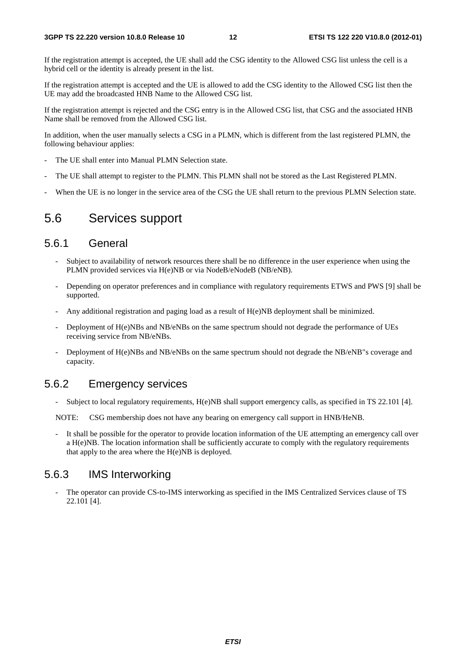If the registration attempt is accepted, the UE shall add the CSG identity to the Allowed CSG list unless the cell is a hybrid cell or the identity is already present in the list.

If the registration attempt is accepted and the UE is allowed to add the CSG identity to the Allowed CSG list then the UE may add the broadcasted HNB Name to the Allowed CSG list.

If the registration attempt is rejected and the CSG entry is in the Allowed CSG list, that CSG and the associated HNB Name shall be removed from the Allowed CSG list.

In addition, when the user manually selects a CSG in a PLMN, which is different from the last registered PLMN, the following behaviour applies:

- The UE shall enter into Manual PLMN Selection state.
- The UE shall attempt to register to the PLMN. This PLMN shall not be stored as the Last Registered PLMN.
- When the UE is no longer in the service area of the CSG the UE shall return to the previous PLMN Selection state.

### 5.6 Services support

#### 5.6.1 General

- Subject to availability of network resources there shall be no difference in the user experience when using the PLMN provided services via H(e)NB or via NodeB/eNodeB (NB/eNB).
- Depending on operator preferences and in compliance with regulatory requirements ETWS and PWS [9] shall be supported.
- Any additional registration and paging load as a result of H(e)NB deployment shall be minimized.
- Deployment of H(e)NBs and NB/eNBs on the same spectrum should not degrade the performance of UEs receiving service from NB/eNBs.
- Deployment of H(e)NBs and NB/eNBs on the same spectrum should not degrade the NB/eNB"s coverage and capacity.

### 5.6.2 Emergency services

Subject to local regulatory requirements, H(e)NB shall support emergency calls, as specified in TS 22.101 [4].

NOTE: CSG membership does not have any bearing on emergency call support in HNB/HeNB.

It shall be possible for the operator to provide location information of the UE attempting an emergency call over a H(e)NB. The location information shall be sufficiently accurate to comply with the regulatory requirements that apply to the area where the  $H(e)NB$  is deployed.

### 5.6.3 IMS Interworking

The operator can provide CS-to-IMS interworking as specified in the IMS Centralized Services clause of TS 22.101 [4].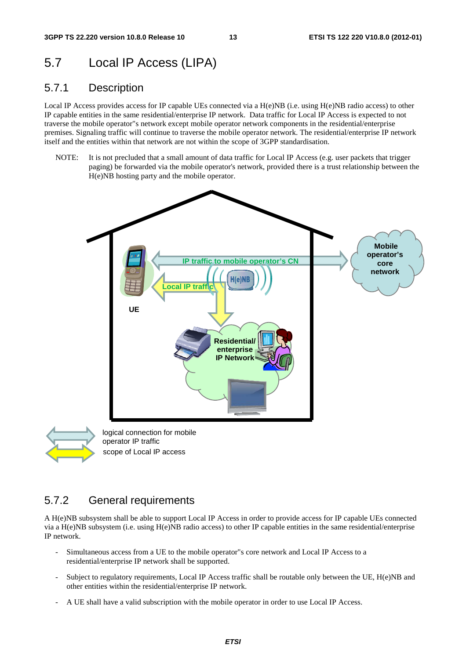## 5.7 Local IP Access (LIPA)

### 5.7.1 Description

Local IP Access provides access for IP capable UEs connected via a H(e)NB (i.e. using H(e)NB radio access) to other IP capable entities in the same residential/enterprise IP network. Data traffic for Local IP Access is expected to not traverse the mobile operator"s network except mobile operator network components in the residential/enterprise premises. Signaling traffic will continue to traverse the mobile operator network. The residential/enterprise IP network itself and the entities within that network are not within the scope of 3GPP standardisation.

NOTE: It is not precluded that a small amount of data traffic for Local IP Access (e.g. user packets that trigger paging) be forwarded via the mobile operator's network, provided there is a trust relationship between the H(e)NB hosting party and the mobile operator.





scope of Local IP access

### 5.7.2 General requirements

A H(e)NB subsystem shall be able to support Local IP Access in order to provide access for IP capable UEs connected via a H(e)NB subsystem (i.e. using H(e)NB radio access) to other IP capable entities in the same residential/enterprise IP network.

- Simultaneous access from a UE to the mobile operator"s core network and Local IP Access to a residential/enterprise IP network shall be supported.
- Subject to regulatory requirements, Local IP Access traffic shall be routable only between the UE, H(e)NB and other entities within the residential/enterprise IP network.
- A UE shall have a valid subscription with the mobile operator in order to use Local IP Access.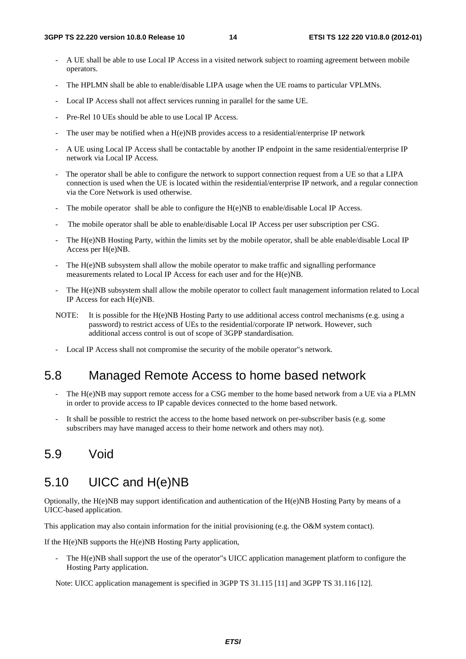- A UE shall be able to use Local IP Access in a visited network subject to roaming agreement between mobile operators.
- The HPLMN shall be able to enable/disable LIPA usage when the UE roams to particular VPLMNs.
- Local IP Access shall not affect services running in parallel for the same UE.
- Pre-Rel 10 UEs should be able to use Local IP Access.
- The user may be notified when a  $H(e)NB$  provides access to a residential/enterprise IP network
- A UE using Local IP Access shall be contactable by another IP endpoint in the same residential/enterprise IP network via Local IP Access.
- The operator shall be able to configure the network to support connection request from a UE so that a LIPA connection is used when the UE is located within the residential/enterprise IP network, and a regular connection via the Core Network is used otherwise.
- The mobile operator shall be able to configure the  $H(e)NB$  to enable/disable Local IP Access.
- The mobile operator shall be able to enable/disable Local IP Access per user subscription per CSG.
- The H(e)NB Hosting Party, within the limits set by the mobile operator, shall be able enable/disable Local IP Access per H(e)NB.
- The H(e)NB subsystem shall allow the mobile operator to make traffic and signalling performance measurements related to Local IP Access for each user and for the H(e)NB.
- The H(e)NB subsystem shall allow the mobile operator to collect fault management information related to Local IP Access for each H(e)NB.
- NOTE: It is possible for the H(e)NB Hosting Party to use additional access control mechanisms (e.g. using a password) to restrict access of UEs to the residential/corporate IP network. However, such additional access control is out of scope of 3GPP standardisation.
- Local IP Access shall not compromise the security of the mobile operator"s network.

### 5.8 Managed Remote Access to home based network

- The H(e)NB may support remote access for a CSG member to the home based network from a UE via a PLMN in order to provide access to IP capable devices connected to the home based network.
- It shall be possible to restrict the access to the home based network on per-subscriber basis (e.g. some subscribers may have managed access to their home network and others may not).

### 5.9 Void

### 5.10 UICC and H(e)NB

Optionally, the H(e)NB may support identification and authentication of the H(e)NB Hosting Party by means of a UICC-based application.

This application may also contain information for the initial provisioning (e.g. the O&M system contact).

If the H(e)NB supports the H(e)NB Hosting Party application,

The H(e)NB shall support the use of the operator"s UICC application management platform to configure the Hosting Party application.

Note: UICC application management is specified in 3GPP TS 31.115 [11] and 3GPP TS 31.116 [12].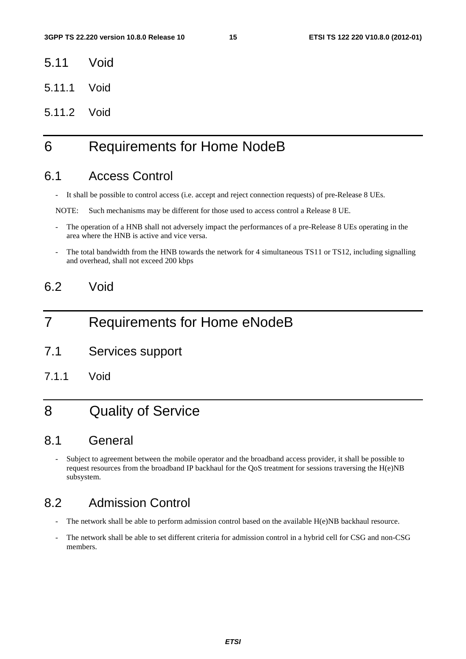- 5.11 Void
- 5.11.1 Void
- 5.11.2 Void

## 6 Requirements for Home NodeB

### 6.1 Access Control

- It shall be possible to control access (i.e. accept and reject connection requests) of pre-Release 8 UEs.

NOTE: Such mechanisms may be different for those used to access control a Release 8 UE.

- The operation of a HNB shall not adversely impact the performances of a pre-Release 8 UEs operating in the area where the HNB is active and vice versa.
- The total bandwidth from the HNB towards the network for 4 simultaneous TS11 or TS12, including signalling and overhead, shall not exceed 200 kbps

### 6.2 Void

## 7 Requirements for Home eNodeB

- 7.1 Services support
- 7.1.1 Void

## 8 Quality of Service

### 8.1 General

- Subject to agreement between the mobile operator and the broadband access provider, it shall be possible to request resources from the broadband IP backhaul for the QoS treatment for sessions traversing the H(e)NB subsystem.

## 8.2 Admission Control

- The network shall be able to perform admission control based on the available H(e)NB backhaul resource.
- The network shall be able to set different criteria for admission control in a hybrid cell for CSG and non-CSG members.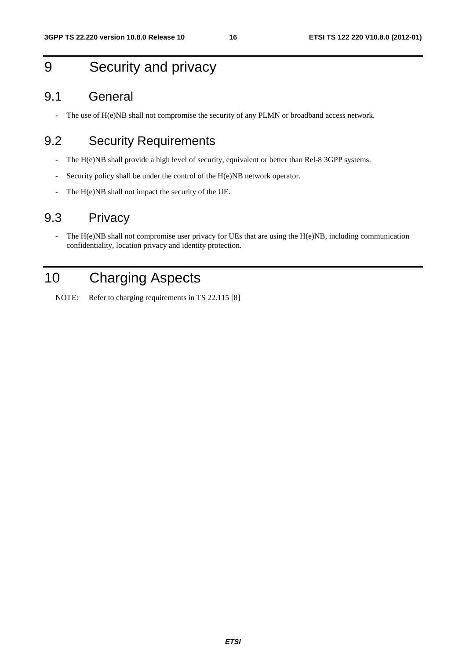## 9 Security and privacy

### 9.1 General

- The use of H(e)NB shall not compromise the security of any PLMN or broadband access network.

## 9.2 Security Requirements

- The H(e)NB shall provide a high level of security, equivalent or better than Rel-8 3GPP systems.
- Security policy shall be under the control of the H(e)NB network operator.
- The H(e)NB shall not impact the security of the UE.

## 9.3 Privacy

- The H(e)NB shall not compromise user privacy for UEs that are using the H(e)NB, including communication confidentiality, location privacy and identity protection.

## 10 Charging Aspects

NOTE: Refer to charging requirements in TS 22.115 [8]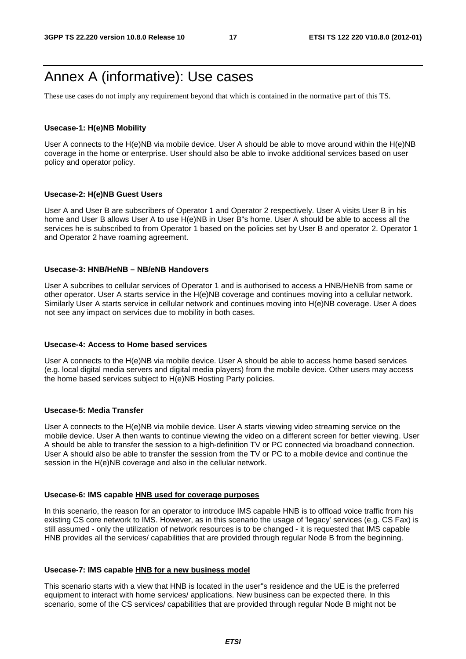## Annex A (informative): Use cases

These use cases do not imply any requirement beyond that which is contained in the normative part of this TS.

#### **Usecase-1: H(e)NB Mobility**

User A connects to the H(e)NB via mobile device. User A should be able to move around within the H(e)NB coverage in the home or enterprise. User should also be able to invoke additional services based on user policy and operator policy.

#### **Usecase-2: H(e)NB Guest Users**

User A and User B are subscribers of Operator 1 and Operator 2 respectively. User A visits User B in his home and User B allows User A to use H(e)NB in User B"s home. User A should be able to access all the services he is subscribed to from Operator 1 based on the policies set by User B and operator 2. Operator 1 and Operator 2 have roaming agreement.

#### **Usecase-3: HNB/HeNB – NB/eNB Handovers**

User A subcribes to cellular services of Operator 1 and is authorised to access a HNB/HeNB from same or other operator. User A starts service in the H(e)NB coverage and continues moving into a cellular network. Similarly User A starts service in cellular network and continues moving into H(e)NB coverage. User A does not see any impact on services due to mobility in both cases.

#### **Usecase-4: Access to Home based services**

User A connects to the H(e)NB via mobile device. User A should be able to access home based services (e.g. local digital media servers and digital media players) from the mobile device. Other users may access the home based services subject to H(e)NB Hosting Party policies.

#### **Usecase-5: Media Transfer**

User A connects to the H(e)NB via mobile device. User A starts viewing video streaming service on the mobile device. User A then wants to continue viewing the video on a different screen for better viewing. User A should be able to transfer the session to a high-definition TV or PC connected via broadband connection. User A should also be able to transfer the session from the TV or PC to a mobile device and continue the session in the H(e)NB coverage and also in the cellular network.

#### **Usecase-6: IMS capable HNB used for coverage purposes**

In this scenario, the reason for an operator to introduce IMS capable HNB is to offload voice traffic from his existing CS core network to IMS. However, as in this scenario the usage of 'legacy' services (e.g. CS Fax) is still assumed - only the utilization of network resources is to be changed - it is requested that IMS capable HNB provides all the services/ capabilities that are provided through regular Node B from the beginning.

#### **Usecase-7: IMS capable HNB for a new business model**

This scenario starts with a view that HNB is located in the user"s residence and the UE is the preferred equipment to interact with home services/ applications. New business can be expected there. In this scenario, some of the CS services/ capabilities that are provided through regular Node B might not be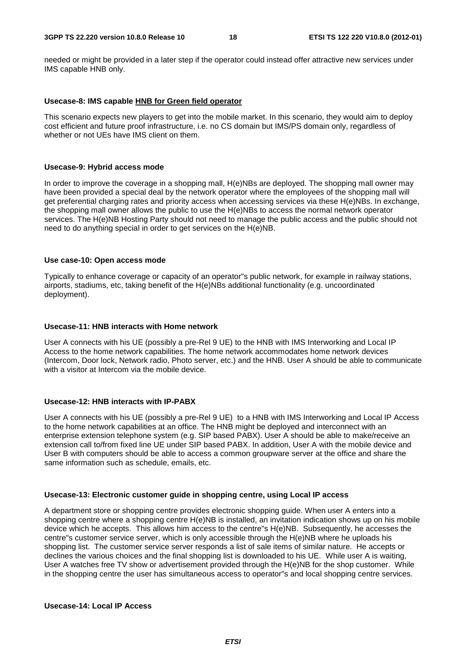needed or might be provided in a later step if the operator could instead offer attractive new services under IMS capable HNB only.

#### **Usecase-8: IMS capable HNB for Green field operator**

This scenario expects new players to get into the mobile market. In this scenario, they would aim to deploy cost efficient and future proof infrastructure, i.e. no CS domain but IMS/PS domain only, regardless of whether or not UEs have IMS client on them.

#### **Usecase-9: Hybrid access mode**

In order to improve the coverage in a shopping mall, H(e)NBs are deployed. The shopping mall owner may have been provided a special deal by the network operator where the employees of the shopping mall will get preferential charging rates and priority access when accessing services via these H(e)NBs. In exchange, the shopping mall owner allows the public to use the H(e)NBs to access the normal network operator services. The H(e)NB Hosting Party should not need to manage the public access and the public should not need to do anything special in order to get services on the H(e)NB.

#### **Use case-10: Open access mode**

Typically to enhance coverage or capacity of an operator"s public network, for example in railway stations, airports, stadiums, etc, taking benefit of the H(e)NBs additional functionality (e.g. uncoordinated deployment).

#### **Usecase-11: HNB interacts with Home network**

User A connects with his UE (possibly a pre-Rel 9 UE) to the HNB with IMS Interworking and Local IP Access to the home network capabilities. The home network accommodates home network devices (Intercom, Door lock, Network radio, Photo server, etc.) and the HNB. User A should be able to communicate with a visitor at Intercom via the mobile device.

#### **Usecase-12: HNB interacts with IP-PABX**

User A connects with his UE (possibly a pre-Rel 9 UE) to a HNB with IMS Interworking and Local IP Access to the home network capabilities at an office. The HNB might be deployed and interconnect with an enterprise extension telephone system (e.g. SIP based PABX). User A should be able to make/receive an extension call to/from fixed line UE under SIP based PABX. In addition, User A with the mobile device and User B with computers should be able to access a common groupware server at the office and share the same information such as schedule, emails, etc.

#### **Usecase-13: Electronic customer guide in shopping centre, using Local IP access**

A department store or shopping centre provides electronic shopping guide. When user A enters into a shopping centre where a shopping centre H(e)NB is installed, an invitation indication shows up on his mobile device which he accepts. This allows him access to the centre"s H(e)NB. Subsequently, he accesses the centre"s customer service server, which is only accessible through the H(e)NB where he uploads his shopping list. The customer service server responds a list of sale items of similar nature. He accepts or declines the various choices and the final shopping list is downloaded to his UE. While user A is waiting, User A watches free TV show or advertisement provided through the H(e)NB for the shop customer. While in the shopping centre the user has simultaneous access to operator"s and local shopping centre services.

#### **Usecase-14: Local IP Access**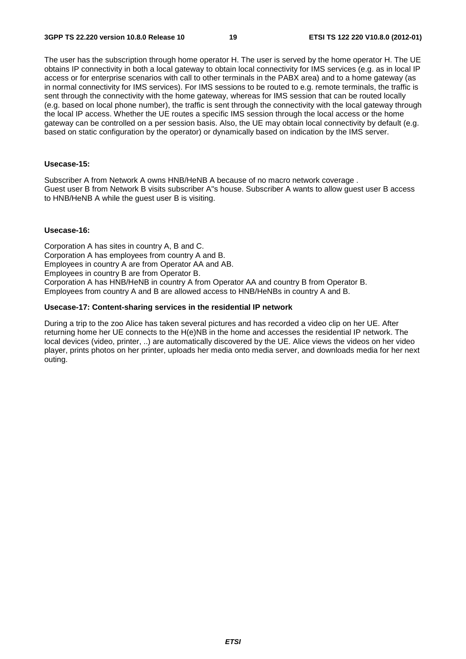The user has the subscription through home operator H. The user is served by the home operator H. The UE obtains IP connectivity in both a local gateway to obtain local connectivity for IMS services (e.g. as in local IP access or for enterprise scenarios with call to other terminals in the PABX area) and to a home gateway (as in normal connectivity for IMS services). For IMS sessions to be routed to e.g. remote terminals, the traffic is sent through the connectivity with the home gateway, whereas for IMS session that can be routed locally (e.g. based on local phone number), the traffic is sent through the connectivity with the local gateway through the local IP access. Whether the UE routes a specific IMS session through the local access or the home gateway can be controlled on a per session basis. Also, the UE may obtain local connectivity by default (e.g. based on static configuration by the operator) or dynamically based on indication by the IMS server.

#### **Usecase-15:**

Subscriber A from Network A owns HNB/HeNB A because of no macro network coverage . Guest user B from Network B visits subscriber A"s house. Subscriber A wants to allow guest user B access to HNB/HeNB A while the guest user B is visiting.

#### **Usecase-16:**

Corporation A has sites in country A, B and C. Corporation A has employees from country A and B. Employees in country A are from Operator AA and AB. Employees in country B are from Operator B. Corporation A has HNB/HeNB in country A from Operator AA and country B from Operator B. Employees from country A and B are allowed access to HNB/HeNBs in country A and B.

#### **Usecase-17: Content-sharing services in the residential IP network**

During a trip to the zoo Alice has taken several pictures and has recorded a video clip on her UE. After returning home her UE connects to the H(e)NB in the home and accesses the residential IP network. The local devices (video, printer, ..) are automatically discovered by the UE. Alice views the videos on her video player, prints photos on her printer, uploads her media onto media server, and downloads media for her next outing.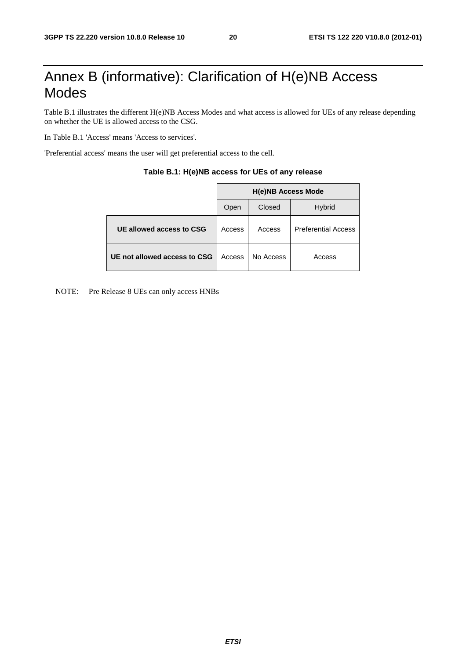## Annex B (informative): Clarification of H(e)NB Access Modes

Table B.1 illustrates the different H(e)NB Access Modes and what access is allowed for UEs of any release depending on whether the UE is allowed access to the CSG.

In Table B.1 'Access' means 'Access to services'.

'Preferential access' means the user will get preferential access to the cell.

|                              | <b>H(e)NB Access Mode</b> |           |                            |  |  |  |
|------------------------------|---------------------------|-----------|----------------------------|--|--|--|
|                              | Open                      | Closed    | <b>Hybrid</b>              |  |  |  |
| UE allowed access to CSG     | Access                    | Access    | <b>Preferential Access</b> |  |  |  |
| UE not allowed access to CSG | Access                    | No Access | Access                     |  |  |  |

| Table B.1: H(e)NB access for UEs of any release |  |  |  |  |
|-------------------------------------------------|--|--|--|--|
|-------------------------------------------------|--|--|--|--|

NOTE: Pre Release 8 UEs can only access HNBs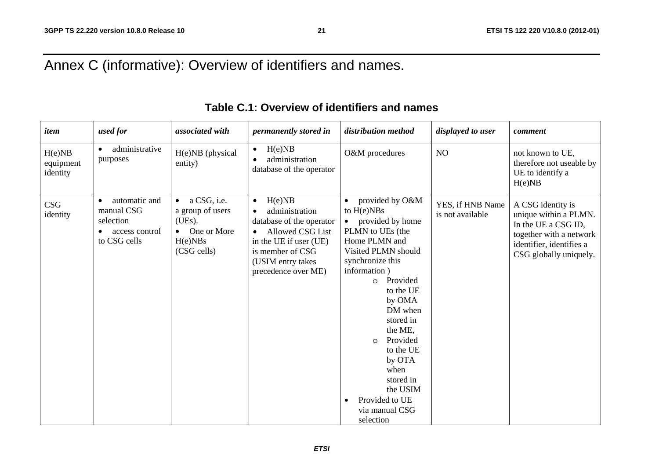## Annex C (informative): Overview of identifiers and names.

| item                            | used for                                                                                             | associated with                                                                                              | permanently stored in                                                                                                                                                           | distribution method                                                                                                                                                                                                                                                                                                                                                               | displayed to user                    | comment                                                                                                                                            |
|---------------------------------|------------------------------------------------------------------------------------------------------|--------------------------------------------------------------------------------------------------------------|---------------------------------------------------------------------------------------------------------------------------------------------------------------------------------|-----------------------------------------------------------------------------------------------------------------------------------------------------------------------------------------------------------------------------------------------------------------------------------------------------------------------------------------------------------------------------------|--------------------------------------|----------------------------------------------------------------------------------------------------------------------------------------------------|
| H(e)NB<br>equipment<br>identity | administrative<br>$\bullet$<br>purposes                                                              | H(e)NB (physical<br>entity)                                                                                  | $\bullet$ H(e)NB<br>administration<br>$\bullet$<br>database of the operator                                                                                                     | O&M procedures                                                                                                                                                                                                                                                                                                                                                                    | NO                                   | not known to UE,<br>therefore not useable by<br>UE to identify a<br>H(e)NB                                                                         |
| <b>CSG</b><br>identity          | automatic and<br>$\bullet$<br>manual CSG<br>selection<br>access control<br>$\bullet$<br>to CSG cells | a CSG, i.e.<br>$\bullet$<br>a group of users<br>(UEs).<br>One or More<br>$\bullet$<br>H(e)NBs<br>(CSG cells) | H(e)NB<br>$\bullet$<br>administration<br>database of the operator<br>Allowed CSG List<br>in the UE if user (UE)<br>is member of CSG<br>(USIM entry takes<br>precedence over ME) | provided by O&M<br>to H(e)NBs<br>provided by home<br>$\bullet$<br>PLMN to UEs (the<br>Home PLMN and<br>Visited PLMN should<br>synchronize this<br>information)<br>Provided<br>$\Omega$<br>to the UE<br>by OMA<br>DM when<br>stored in<br>the ME,<br>Provided<br>$\Omega$<br>to the UE<br>by OTA<br>when<br>stored in<br>the USIM<br>Provided to UE<br>via manual CSG<br>selection | YES, if HNB Name<br>is not available | A CSG identity is<br>unique within a PLMN.<br>In the UE a CSG ID,<br>together with a network<br>identifier, identifies a<br>CSG globally uniquely. |

### **Table C.1: Overview of identifiers and names**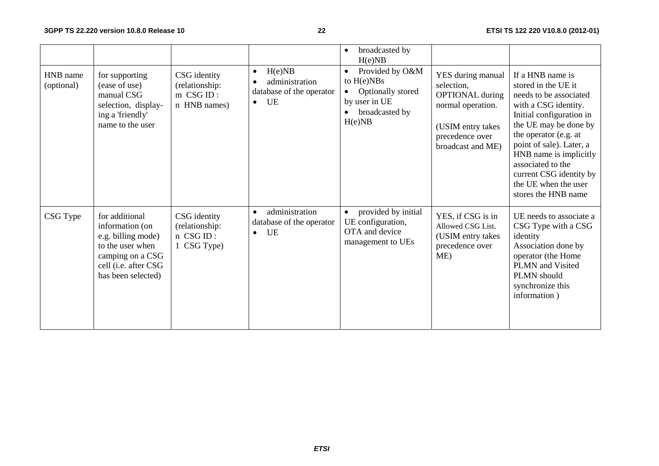|                        |                                                                                                                                               |                                                             |                                                                                      | broadcasted by<br>$\bullet$<br>H(e)NB                                                                          |                                                                                                                                             |                                                                                                                                                                                                                                                                                                                              |
|------------------------|-----------------------------------------------------------------------------------------------------------------------------------------------|-------------------------------------------------------------|--------------------------------------------------------------------------------------|----------------------------------------------------------------------------------------------------------------|---------------------------------------------------------------------------------------------------------------------------------------------|------------------------------------------------------------------------------------------------------------------------------------------------------------------------------------------------------------------------------------------------------------------------------------------------------------------------------|
| HNB name<br>(optional) | for supporting<br>(ease of use)<br>manual CSG<br>selection, display-<br>ing a 'friendly'<br>name to the user                                  | CSG identity<br>(relationship:<br>m CSG ID:<br>n HNB names) | H(e)NB<br>$\bullet$<br>administration<br>database of the operator<br>UE<br>$\bullet$ | Provided by O&M<br>$\bullet$<br>to $H(e)NBs$<br>Optionally stored<br>by user in UE<br>broadcasted by<br>H(e)NB | YES during manual<br>selection,<br><b>OPTIONAL</b> during<br>normal operation.<br>(USIM entry takes<br>precedence over<br>broadcast and ME) | If a HNB name is<br>stored in the UE it<br>needs to be associated<br>with a CSG identity.<br>Initial configuration in<br>the UE may be done by<br>the operator (e.g. at<br>point of sale). Later, a<br>HNB name is implicitly<br>associated to the<br>current CSG identity by<br>the UE when the user<br>stores the HNB name |
| CSG Type               | for additional<br>information (on<br>e.g. billing mode)<br>to the user when<br>camping on a CSG<br>cell (i.e. after CSG<br>has been selected) | CSG identity<br>(relationship:<br>n CSG ID:<br>1 CSG Type)  | administration<br>$\bullet$<br>database of the operator<br>UE<br>$\bullet$           | provided by initial<br>UE configuration,<br>OTA and device<br>management to UEs                                | YES, if CSG is in<br>Allowed CSG List.<br>(USIM entry takes<br>precedence over<br>ME)                                                       | UE needs to associate a<br>CSG Type with a CSG<br>identity<br>Association done by<br>operator (the Home<br>PLMN and Visited<br>PLMN should<br>synchronize this<br>information)                                                                                                                                               |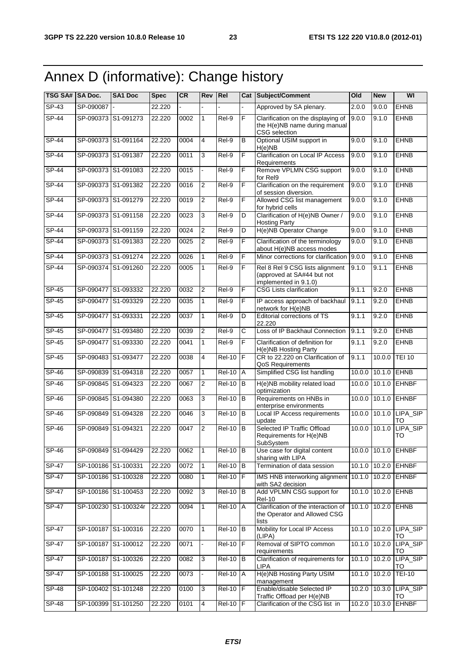## Annex D (informative): Change history

| TSG SA# SA Doc. |           | SA1 Doc              | <b>Spec</b> | <b>CR</b> | Rev            | Rel                 |                | <b>Cat Subject/Comment</b>                                                             | Old    | <b>New</b>        | WI                           |
|-----------------|-----------|----------------------|-------------|-----------|----------------|---------------------|----------------|----------------------------------------------------------------------------------------|--------|-------------------|------------------------------|
| $SP-43$         | SP-090087 |                      | 22.220      |           |                |                     |                | Approved by SA plenary.                                                                | 2.0.0  | 9.0.0             | <b>EHNB</b>                  |
| $SP-44$         |           | SP-090373 S1-091273  | 22.220      | 0002      | $\mathbf{1}$   | Rel-9               | F              | Clarification on the displaying of<br>the H(e)NB name during manual<br>CSG selection   | 9.0.0  | 9.1.0             | <b>EHNB</b>                  |
| $SP-44$         |           | SP-090373 S1-091164  | 22.220      | 0004      | $\overline{4}$ | Rel-9               | B              | Optional USIM support in<br>H(e)NB                                                     | 9.0.0  | 9.1.0             | <b>EHNB</b>                  |
| <b>SP-44</b>    |           | SP-090373 S1-091387  | 22.220      | 0011      | 3              | Rel-9               | F              | <b>Clarification on Local IP Access</b><br>Requirements                                | 9.0.0  | 9.1.0             | <b>EHNB</b>                  |
| $SP-44$         |           | SP-090373 S1-091083  | 22.220      | 0015      |                | $ReI-9$             | F              | Remove VPLMN CSG support<br>for Rel9                                                   | 9.0.0  | 9.1.0             | <b>EHNB</b>                  |
| $SP-44$         |           | SP-090373 S1-091382  | 22.220      | 0016      | 2              | Rel-9               | F              | Clarification on the requirement<br>of session diversion.                              | 9.0.0  | 9.1.0             | <b>EHNB</b>                  |
| $SP-44$         |           | SP-090373 S1-091279  | 22.220      | 0019      | $\overline{2}$ | $Rel-9$             | F              | Allowed CSG list management<br>for hybrid cells                                        | 9.0.0  | 9.1.0             | <b>EHNB</b>                  |
| $SP-44$         |           | SP-090373 S1-091158  | 22.220      | 0023      | 3              | $ReI-9$             | D              | Clarification of H(e)NB Owner /<br><b>Hosting Party</b>                                | 9.0.0  | 9.1.0             | <b>EHNB</b>                  |
| $SP-44$         |           | SP-090373 S1-091159  | 22.220      | 0024      | $\overline{2}$ | $Rel-9$             | D              | H(e)NB Operator Change                                                                 | 9.0.0  | 9.1.0             | <b>EHNB</b>                  |
| <b>SP-44</b>    |           | SP-090373 S1-091383  | 22.220      | 0025      | 2              | Rel-9               | F              | Clarification of the terminology<br>about H(e)NB access modes                          | 9.0.0  | 9.1.0             | <b>EHNB</b>                  |
| <b>SP-44</b>    |           | SP-090373 S1-091274  | 22.220      | 0026      | $\mathbf{1}$   | $Rel-9$             | F              | Minor corrections for clarification                                                    | 9.0.0  | 9.1.0             | <b>EHNB</b>                  |
| $SP-44$         |           | SP-090374 S1-091260  | 22.220      | 0005      | 1              | Rel-9               | F              | Rel 8 Rel 9 CSG lists alignment<br>(approved at SA#44 but not<br>implemented in 9.1.0) | 9.1.0  | 9.1.1             | <b>EHNB</b>                  |
| SP-45           | SP-090477 | S1-093332            | 22.220      | 0032      | 2              | Rel-9               | F              | <b>CSG Lists clarification</b>                                                         | 9.1.1  | 9.2.0             | <b>EHNB</b>                  |
| $SP-45$         |           | SP-090477 S1-093329  | 22.220      | 0035      | 1              | Rel-9               | F              | IP access approach of backhaul<br>network for H(e)NB                                   | 9.1.1  | 9.2.0             | <b>EHNB</b>                  |
| SP-45           |           | SP-090477 S1-093331  | 22.220      | 0037      | 1              | Rel-9               | D              | Editorial corrections of TS<br>22.220                                                  | 9.1.1  | 9.2.0             | <b>EHNB</b>                  |
| $SP-45$         |           | SP-090477 S1-093480  | 22.220      | 0039      | 2              | $ReI-9$             | С              | Loss of IP Backhaul Connection                                                         | 9.1.1  | 9.2.0             | <b>EHNB</b>                  |
| <b>SP-45</b>    |           | SP-090477 S1-093330  | 22.220      | 0041      | $\mathbf{1}$   | Rel-9               | $\overline{F}$ | Clarification of definition for<br>H(e)NB Hosting Party                                | 9.1.1  | 9.2.0             | <b>EHNB</b>                  |
| $SP-45$         |           | SP-090483 S1-093477  | 22.220      | 0038      | $\overline{4}$ | $Rel-10$            | F              | CR to 22.220 on Clarification of<br>QoS Requirements                                   | 9.1.1  | 10.0.0            | <b>TEI 10</b>                |
| SP-46           |           | SP-090839 S1-094318  | 22.220      | 0057      | $\mathbf{1}$   | <b>Rel-10</b>       | Α              | Simplified CSG list handling                                                           | 10.0.0 | 10.1.0            | EHNB                         |
| SP-46           |           | SP-090845 S1-094323  | 22.220      | 0067      | $\overline{2}$ | <b>Rel-10</b>       | B              | H(e)NB mobility related load<br>optimization                                           | 10.0.0 | 10.1.0            | <b>EHNBF</b>                 |
| SP-46           |           | SP-090845 S1-094380  | 22.220      | 0063      | 3              | <b>Rel-10</b>       | $\sf B$        | Requirements on HNBs in<br>enterprise environments                                     | 10.0.0 | 10.1.0            | <b>EHNBF</b>                 |
| SP-46           |           | SP-090849 S1-094328  | 22.220      | 0046      | 3              | <b>Rel-10</b>       | B              | Local IP Access requirements<br>update                                                 | 10.0.0 |                   | 10.1.0 LIPA_SIP<br><b>TO</b> |
| $SP-46$         |           | SP-090849 S1-094321  | 22.220      | 0047      | $\overline{2}$ | $Rel-10$            | <b>IB</b>      | Selected IP Traffic Offload<br>Requirements for H(e)NB<br>SubSystem                    | 10.0.0 | 10.1.0            | LIPA_SIP<br>TO               |
| SP-46           |           | SP-090849 S1-094429  | 22.220      | 0062      | 1              | $Rel-10$ B          |                | Use case for digital content<br>sharing with LIPA                                      |        |                   | 10.0.0 10.1.0 EHNBF          |
| SP-47           |           | SP-100186 S1-100331  | 22.220      | 0072      | 1              | <b>Rel-10</b>       | B              | Termination of data session                                                            |        |                   | 10.1.0 10.2.0 EHNBF          |
| $SP-47$         |           | SP-100186 S1-100328  | 22.220      | 0080      | 1              | $Rel-10$            |                | IMS HNB interworking alignment<br>with SA2 decision                                    | 10.1.0 | 10.2.0            | <b>EHNBF</b>                 |
| $SP-47$         |           | SP-100186 S1-100453  | 22.220      | 0092      | 3              | $Rel-10$ B          |                | Add VPLMN CSG support for<br><b>Rel-10</b>                                             |        | $10.1.0$ $10.2.0$ | <b>EHNB</b>                  |
| $SP-47$         |           | SP-100230 S1-100324r | 22.220      | 0094      | 1              | Rel-10 A            |                | Clarification of the interaction of<br>the Operator and Allowed CSG<br>lists           |        | 10.1.0 10.2.0     | EHNB                         |
| <b>SP-47</b>    |           | SP-100187 S1-100316  | 22.220      | 0070      | $\mathbf{1}$   | $ReI-10$ B          |                | Mobility for Local IP Access<br>(LIPA)                                                 |        |                   | 10.1.0 10.2.0 LIPA_SIP<br>TO |
| SP-47           |           | SP-100187 S1-100012  | 22.220      | 0071      |                | <b>Rel-10</b>       | $\overline{F}$ | Removal of SIPTO common<br>requirements                                                | 10.1.0 | 10.2.0            | LIPA_SIP<br>TO               |
| SP-47           |           | SP-100187 S1-100326  | 22.220      | 0082      | 3              | $\overline{Rel.10}$ | B              | Clarification of requirements for<br>LIPA                                              |        | $10.1.0$ $10.2.0$ | LIPA_SIP<br>то               |
| <b>SP-47</b>    |           | SP-100188 S1-100025  | 22.220      | 0073      | $\overline{a}$ | <b>Rel-10 A</b>     |                | H(e)NB Hosting Party USIM<br>management                                                |        | 10.1.0 10.2.0     | <b>TEI-10</b>                |
| $SP-48$         |           | SP-100402 S1-101248  | 22.220      | 0100      | 3              | $Rel-10$ $F$        |                | Enable/disable Selected IP<br>Traffic Offload per H(e)NB                               |        | 10.2.0 10.3.0     | LIPA_SIP<br>TO               |
| $SP-48$         | SP-100399 | S1-101250            | 22.220      | 0101      | $\overline{4}$ | $Rel-10$            | F              | Clarification of the CSG list in                                                       |        | 10.2.0 10.3.0     | <b>EHNBF</b>                 |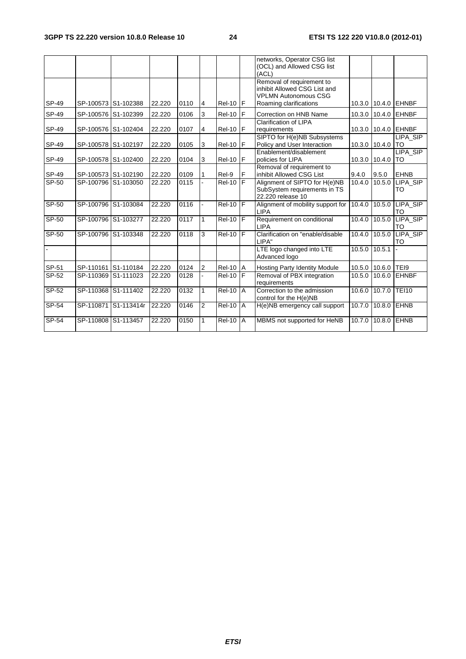|         |                     |                      |        |      |                |               |                | networks, Operator CSG list<br>(OCL) and Allowed CSG list<br>(ACL)                                                 |        |               |                        |
|---------|---------------------|----------------------|--------|------|----------------|---------------|----------------|--------------------------------------------------------------------------------------------------------------------|--------|---------------|------------------------|
| SP-49   | SP-100573 S1-102388 |                      | 22.220 | 0110 | $\overline{4}$ | <b>Rel-10</b> | IF             | Removal of requirement to<br>inhibit Allowed CSG List and<br><b>VPLMN Autonomous CSG</b><br>Roaming clarifications |        |               | 10.3.0 10.4.0 EHNBF    |
| SP-49   | SP-100576 S1-102399 |                      | 22.220 | 0106 | 3              | <b>Rel-10</b> | F              | Correction on HNB Name                                                                                             |        | 10.3.0 10.4.0 | <b>IEHNBF</b>          |
| SP-49   | SP-100576 S1-102404 |                      | 22.220 | 0107 | 4              | <b>Rel-10</b> | IF             | <b>Clarification of LIPA</b><br>requirements                                                                       |        |               | 10.3.0 10.4.0 EHNBF    |
| SP-49   | SP-100578 S1-102197 |                      | 22.220 | 0105 | 3              | <b>Rel-10</b> | IF             | SIPTO for H(e)NB Subsystems<br>Policy and User Interaction                                                         |        | 10.3.0 10.4.0 | LIPA_SIP<br><b>ITO</b> |
| SP-49   | SP-100578 S1-102400 |                      | 22.220 | 0104 | 3              | <b>Rel-10</b> | IF             | Enablement/disablement<br>policies for LIPA                                                                        |        | 10.3.0 10.4.0 | LIPA SIP<br>TO         |
| SP-49   | SP-100573 S1-102190 |                      | 22.220 | 0109 |                | Rel-9         | F              | Removal of requirement to<br>inhibit Allowed CSG List                                                              | 9.4.0  | 9.5.0         | <b>EHNB</b>            |
| SP-50   | SP-100796 S1-103050 |                      | 22.220 | 0115 |                | <b>Rel-10</b> | lF.            | Alignment of SIPTO for H(e)NB<br>SubSystem requirements in TS<br>22.220 release 10                                 | 10.4.0 | 10.5.0        | LIPA_SIP<br>TO         |
| SP-50   | SP-100796 S1-103084 |                      | 22.220 | 0116 |                | <b>Rel-10</b> | lF.            | Alignment of mobility support for<br><b>LIPA</b>                                                                   | 10.4.0 | 10.5.0        | LIPA SIP<br>TO         |
| SP-50   | SP-100796 S1-103277 |                      | 22.220 | 0117 | $\mathbf{1}$   | <b>Rel-10</b> | IF             | Requirement on conditional<br><b>LIPA</b>                                                                          | 10.4.0 | 10.5.0        | LIPA_SIP<br><b>TO</b>  |
| SP-50   | SP-100796 S1-103348 |                      | 22.220 | 0118 | 3              | $ReI-10$      | IF             | Clarification on "enable/disable<br>LIPA"                                                                          | 10.4.0 | 10.5.0        | LIPA_SIP<br><b>TO</b>  |
|         |                     |                      |        |      |                |               |                | LTE logo changed into LTE<br>Advanced logo                                                                         | 10.5.0 | 10.5.1        |                        |
| SP-51   |                     | SP-110161 S1-110184  | 22.220 | 0124 | 2              | <b>Rel-10</b> | A              | <b>Hosting Party Identity Module</b>                                                                               |        | 10.5.0 10.6.0 | TEI9                   |
| SP-52   | SP-110369 S1-111023 |                      | 22.220 | 0128 |                | <b>Rel-10</b> | IF             | Removal of PBX integration<br>requirements                                                                         | 10.5.0 | 10.6.0        | <b>EHNBF</b>           |
| $SP-52$ | SP-110368 S1-111402 |                      | 22.220 | 0132 | 1              | $Rel-10$      | A              | Correction to the admission<br>control for the H(e)NB                                                              |        | 10.6.0 10.7.0 | <b>TEI10</b>           |
| $SP-54$ |                     | SP-110871 S1-113414r | 22.220 | 0146 | $\overline{2}$ | $Rel-10$      | $\overline{A}$ | H(e)NB emergency call support                                                                                      | 10.7.0 | 10.8.0        | <b>EHNB</b>            |
| SP-54   | SP-110808 S1-113457 |                      | 22.220 | 0150 | 1              | <b>Rel-10</b> | l A            | MBMS not supported for HeNB                                                                                        | 10.7.0 | 10.8.0        | <b>EHNB</b>            |